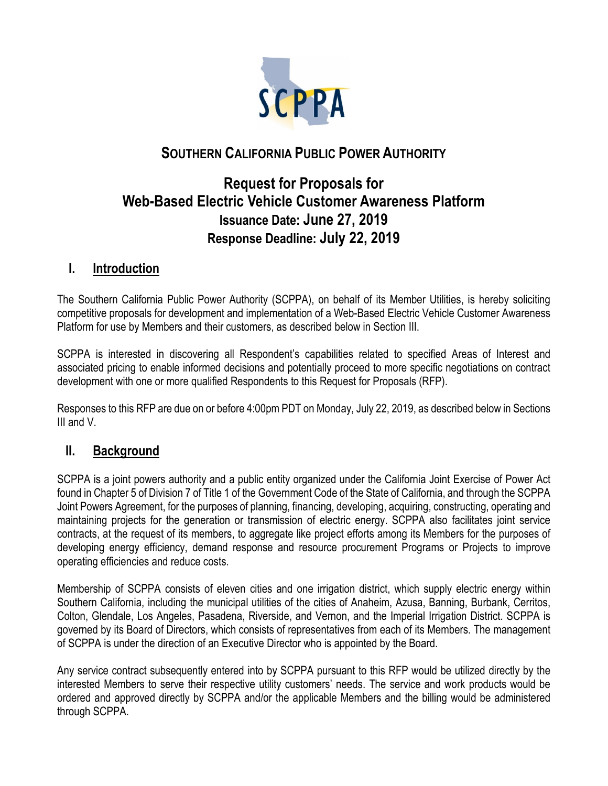

# **SOUTHERN CALIFORNIA PUBLIC POWER AUTHORITY**

# **Request for Proposals for Web-Based Electric Vehicle Customer Awareness Platform Issuance Date: June 27, 2019 Response Deadline: July 22, 2019**

## **I. Introduction**

The Southern California Public Power Authority (SCPPA), on behalf of its Member Utilities, is hereby soliciting competitive proposals for development and implementation of a Web-Based Electric Vehicle Customer Awareness Platform for use by Members and their customers, as described below in Section III.

SCPPA is interested in discovering all Respondent's capabilities related to specified Areas of Interest and associated pricing to enable informed decisions and potentially proceed to more specific negotiations on contract development with one or more qualified Respondents to this Request for Proposals (RFP).

Responses to this RFP are due on or before 4:00pm PDT on Monday, July 22, 2019, as described below in Sections III and V.

### **II. Background**

SCPPA is a joint powers authority and a public entity organized under the California Joint Exercise of Power Act found in Chapter 5 of Division 7 of Title 1 of the Government Code of the State of California, and through the SCPPA Joint Powers Agreement, for the purposes of planning, financing, developing, acquiring, constructing, operating and maintaining projects for the generation or transmission of electric energy. SCPPA also facilitates joint service contracts, at the request of its members, to aggregate like project efforts among its Members for the purposes of developing energy efficiency, demand response and resource procurement Programs or Projects to improve operating efficiencies and reduce costs.

Membership of SCPPA consists of eleven cities and one irrigation district, which supply electric energy within Southern California, including the municipal utilities of the cities of Anaheim, Azusa, Banning, Burbank, Cerritos, Colton, Glendale, Los Angeles, Pasadena, Riverside, and Vernon, and the Imperial Irrigation District. SCPPA is governed by its Board of Directors, which consists of representatives from each of its Members. The management of SCPPA is under the direction of an Executive Director who is appointed by the Board.

Any service contract subsequently entered into by SCPPA pursuant to this RFP would be utilized directly by the interested Members to serve their respective utility customers' needs. The service and work products would be ordered and approved directly by SCPPA and/or the applicable Members and the billing would be administered through SCPPA.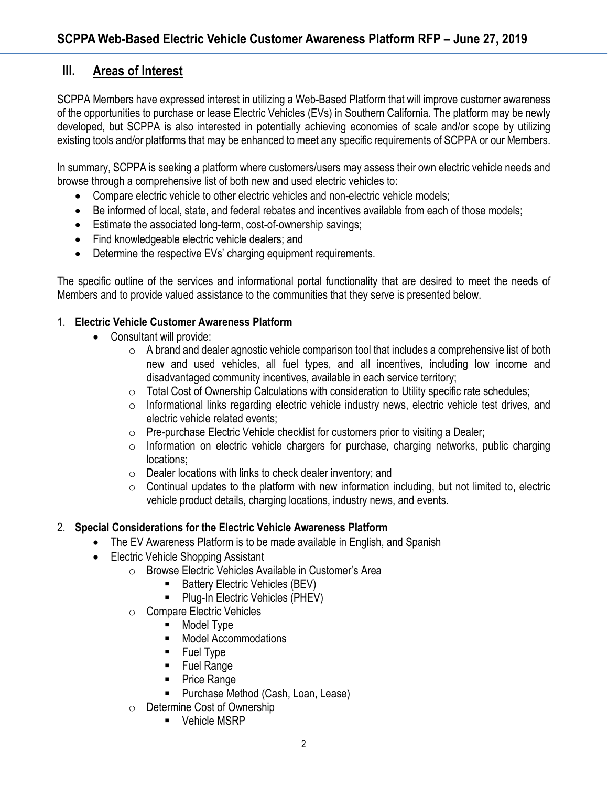## **III. Areas of Interest**

SCPPA Members have expressed interest in utilizing a Web-Based Platform that will improve customer awareness of the opportunities to purchase or lease Electric Vehicles (EVs) in Southern California. The platform may be newly developed, but SCPPA is also interested in potentially achieving economies of scale and/or scope by utilizing existing tools and/or platforms that may be enhanced to meet any specific requirements of SCPPA or our Members.

In summary, SCPPA is seeking a platform where customers/users may assess their own electric vehicle needs and browse through a comprehensive list of both new and used electric vehicles to:

- Compare electric vehicle to other electric vehicles and non-electric vehicle models;
- Be informed of local, state, and federal rebates and incentives available from each of those models;
- Estimate the associated long-term, cost-of-ownership savings;
- Find knowledgeable electric vehicle dealers; and
- Determine the respective EVs' charging equipment requirements.

The specific outline of the services and informational portal functionality that are desired to meet the needs of Members and to provide valued assistance to the communities that they serve is presented below.

#### 1. **Electric Vehicle Customer Awareness Platform**

- Consultant will provide:
	- $\circ$  A brand and dealer agnostic vehicle comparison tool that includes a comprehensive list of both new and used vehicles, all fuel types, and all incentives, including low income and disadvantaged community incentives, available in each service territory;
	- $\circ$  Total Cost of Ownership Calculations with consideration to Utility specific rate schedules;
	- $\circ$  Informational links regarding electric vehicle industry news, electric vehicle test drives, and electric vehicle related events;
	- o Pre-purchase Electric Vehicle checklist for customers prior to visiting a Dealer;
	- $\circ$  Information on electric vehicle chargers for purchase, charging networks, public charging locations;
	- o Dealer locations with links to check dealer inventory; and
	- $\circ$  Continual updates to the platform with new information including, but not limited to, electric vehicle product details, charging locations, industry news, and events.

### 2. **Special Considerations for the Electric Vehicle Awareness Platform**

- The EV Awareness Platform is to be made available in English, and Spanish
- Electric Vehicle Shopping Assistant
	- o Browse Electric Vehicles Available in Customer's Area
		- **Battery Electric Vehicles (BEV)**
		- Plug-In Electric Vehicles (PHEV)
	- o Compare Electric Vehicles
		- **Model Type**
		- **Model Accommodations**
		- **Fuel Type**
		- **Fuel Range**
		- Price Range
		- **Purchase Method (Cash, Loan, Lease)**
	- o Determine Cost of Ownership
		- **•** Vehicle MSRP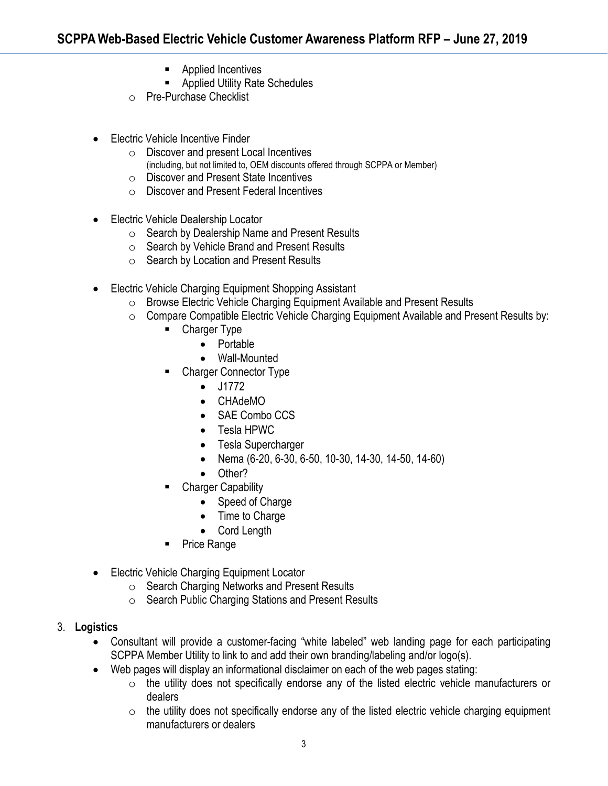- **Applied Incentives**
- **Applied Utility Rate Schedules**
- o Pre-Purchase Checklist
- Electric Vehicle Incentive Finder
	- o Discover and present Local Incentives (including, but not limited to, OEM discounts offered through SCPPA or Member)
	- o Discover and Present State Incentives
	- o Discover and Present Federal Incentives
- Electric Vehicle Dealership Locator
	- o Search by Dealership Name and Present Results
	- o Search by Vehicle Brand and Present Results
	- o Search by Location and Present Results
- Electric Vehicle Charging Equipment Shopping Assistant
	- o Browse Electric Vehicle Charging Equipment Available and Present Results
	- o Compare Compatible Electric Vehicle Charging Equipment Available and Present Results by:<br>■ Charger Type
		- Charger Type
			- Portable
			- Wall-Mounted
		- Charger Connector Type
			- J1772
			- CHAdeMO
			- SAE Combo CCS
			- Tesla HPWC
			- Tesla Supercharger
			- Nema (6-20, 6-30, 6-50, 10-30, 14-30, 14-50, 14-60)
			- Other?
		- Charger Capability
			- Speed of Charge
			- Time to Charge
			- Cord Length
		- Price Range
- Electric Vehicle Charging Equipment Locator
	- o Search Charging Networks and Present Results
	- o Search Public Charging Stations and Present Results
- 3. **Logistics**
	- Consultant will provide a customer-facing "white labeled" web landing page for each participating SCPPA Member Utility to link to and add their own branding/labeling and/or logo(s).
	- Web pages will display an informational disclaimer on each of the web pages stating:
		- o the utility does not specifically endorse any of the listed electric vehicle manufacturers or dealers
		- $\circ$  the utility does not specifically endorse any of the listed electric vehicle charging equipment manufacturers or dealers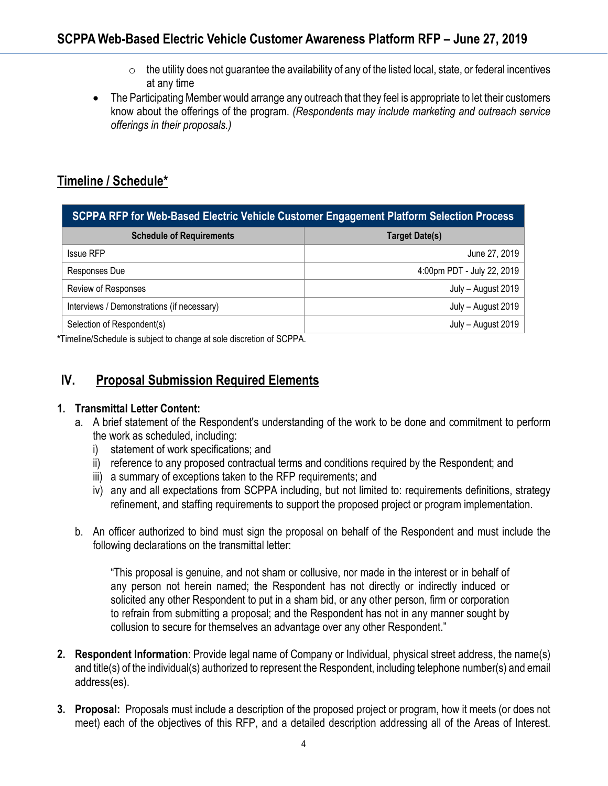- $\circ$  the utility does not guarantee the availability of any of the listed local, state, or federal incentives at any time
- The Participating Member would arrange any outreach that they feel is appropriate to let their customers know about the offerings of the program. *(Respondents may include marketing and outreach service offerings in their proposals.)*

## **Timeline / Schedule\***

| SCPPA RFP for Web-Based Electric Vehicle Customer Engagement Platform Selection Process |                            |
|-----------------------------------------------------------------------------------------|----------------------------|
| <b>Schedule of Requirements</b>                                                         | <b>Target Date(s)</b>      |
| <b>Issue RFP</b>                                                                        | June 27, 2019              |
| Responses Due                                                                           | 4:00pm PDT - July 22, 2019 |
| Review of Responses                                                                     | July - August 2019         |
| Interviews / Demonstrations (if necessary)                                              | July - August 2019         |
| Selection of Respondent(s)                                                              | July - August 2019         |

**\***Timeline/Schedule is subject to change at sole discretion of SCPPA.

## **IV. Proposal Submission Required Elements**

#### **1. Transmittal Letter Content:**

- a. A brief statement of the Respondent's understanding of the work to be done and commitment to perform the work as scheduled, including:
	- i) statement of work specifications; and
	- ii) reference to any proposed contractual terms and conditions required by the Respondent; and
	- iii) a summary of exceptions taken to the RFP requirements; and
	- iv) any and all expectations from SCPPA including, but not limited to: requirements definitions, strategy refinement, and staffing requirements to support the proposed project or program implementation.
- b. An officer authorized to bind must sign the proposal on behalf of the Respondent and must include the following declarations on the transmittal letter:

"This proposal is genuine, and not sham or collusive, nor made in the interest or in behalf of any person not herein named; the Respondent has not directly or indirectly induced or solicited any other Respondent to put in a sham bid, or any other person, firm or corporation to refrain from submitting a proposal; and the Respondent has not in any manner sought by collusion to secure for themselves an advantage over any other Respondent."

- **2. Respondent Information**: Provide legal name of Company or Individual, physical street address, the name(s) and title(s) of the individual(s) authorized to represent the Respondent, including telephone number(s) and email address(es).
- **3. Proposal:** Proposals must include a description of the proposed project or program, how it meets (or does not meet) each of the objectives of this RFP, and a detailed description addressing all of the Areas of Interest.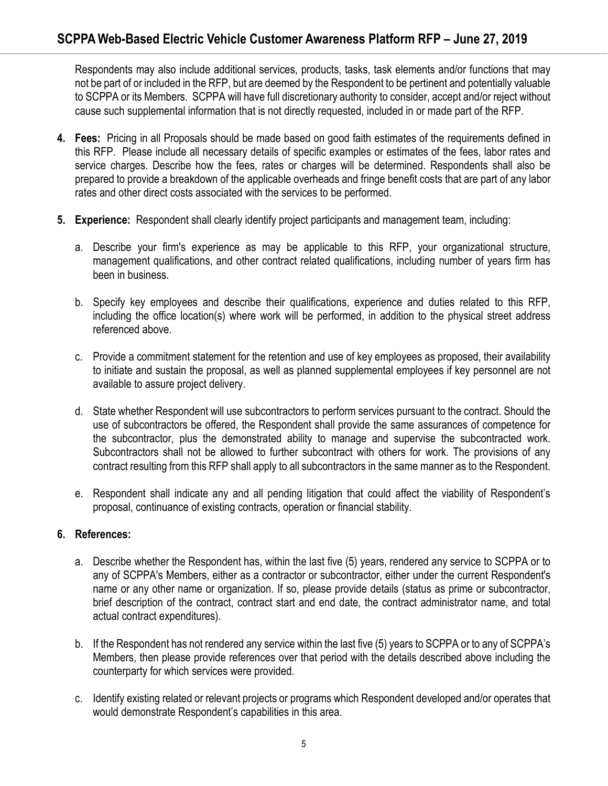Respondents may also include additional services, products, tasks, task elements and/or functions that may not be part of or included in the RFP, but are deemed by the Respondent to be pertinent and potentially valuable to SCPPA or its Members. SCPPA will have full discretionary authority to consider, accept and/or reject without cause such supplemental information that is not directly requested, included in or made part of the RFP.

- **4. Fees:** Pricing in all Proposals should be made based on good faith estimates of the requirements defined in this RFP. Please include all necessary details of specific examples or estimates of the fees, labor rates and service charges. Describe how the fees, rates or charges will be determined. Respondents shall also be prepared to provide a breakdown of the applicable overheads and fringe benefit costs that are part of any labor rates and other direct costs associated with the services to be performed.
- **5. Experience:** Respondent shall clearly identify project participants and management team, including:
	- a. Describe your firm's experience as may be applicable to this RFP, your organizational structure, management qualifications, and other contract related qualifications, including number of years firm has been in business.
	- b. Specify key employees and describe their qualifications, experience and duties related to this RFP, including the office location(s) where work will be performed, in addition to the physical street address referenced above.
	- c. Provide a commitment statement for the retention and use of key employees as proposed, their availability to initiate and sustain the proposal, as well as planned supplemental employees if key personnel are not available to assure project delivery.
	- d. State whether Respondent will use subcontractors to perform services pursuant to the contract. Should the use of subcontractors be offered, the Respondent shall provide the same assurances of competence for the subcontractor, plus the demonstrated ability to manage and supervise the subcontracted work. Subcontractors shall not be allowed to further subcontract with others for work. The provisions of any contract resulting from this RFP shall apply to all subcontractors in the same manner as to the Respondent.
	- e. Respondent shall indicate any and all pending litigation that could affect the viability of Respondent's proposal, continuance of existing contracts, operation or financial stability.

### **6. References:**

- a. Describe whether the Respondent has, within the last five (5) years, rendered any service to SCPPA or to any of SCPPA's Members, either as a contractor or subcontractor, either under the current Respondent's name or any other name or organization. If so, please provide details (status as prime or subcontractor, brief description of the contract, contract start and end date, the contract administrator name, and total actual contract expenditures).
- b. If the Respondent has not rendered any service within the last five (5) years to SCPPA or to any of SCPPA's Members, then please provide references over that period with the details described above including the counterparty for which services were provided.
- c. Identify existing related or relevant projects or programs which Respondent developed and/or operates that would demonstrate Respondent's capabilities in this area.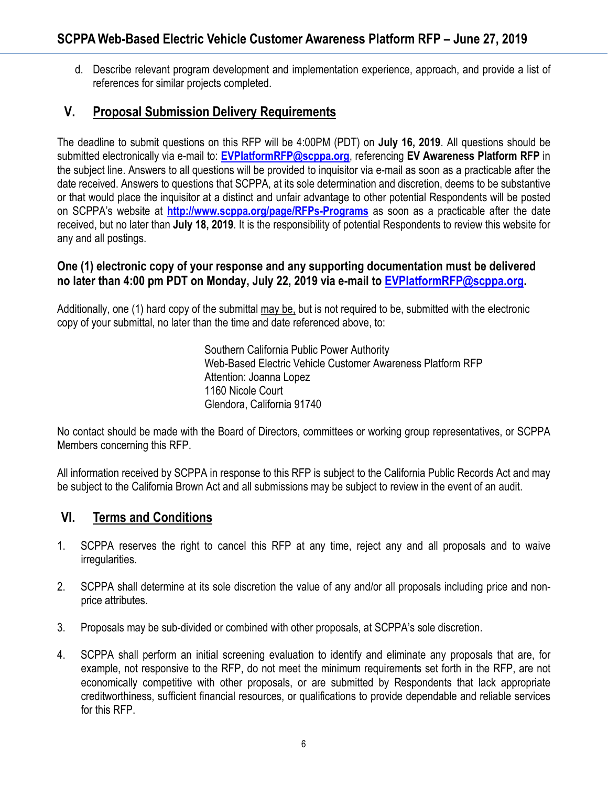d. Describe relevant program development and implementation experience, approach, and provide a list of references for similar projects completed.

## **V. Proposal Submission Delivery Requirements**

The deadline to submit questions on this RFP will be 4:00PM (PDT) on **July 16, 2019**. All questions should be submitted electronically via e-mail to: **[EVPlatformRFP@scppa.org](mailto:EVPlatformRFP@scppa.org)**, referencing **EV Awareness Platform RFP** in the subject line. Answers to all questions will be provided to inquisitor via e-mail as soon as a practicable after the date received. Answers to questions that SCPPA, at its sole determination and discretion, deems to be substantive or that would place the inquisitor at a distinct and unfair advantage to other potential Respondents will be posted on SCPPA's website at **<http://www.scppa.org/page/RFPs-Programs>** as soon as a practicable after the date received, but no later than **July 18, 2019**. It is the responsibility of potential Respondents to review this website for any and all postings.

### **One (1) electronic copy of your response and any supporting documentation must be delivered no later than 4:00 pm PDT on Monday, July 22, 2019 via e-mail to [EVPlatformRFP@scppa.org.](mailto:EVPlatformRFP@scppa.org)**

Additionally, one (1) hard copy of the submittal may be, but is not required to be, submitted with the electronic copy of your submittal, no later than the time and date referenced above, to:

> Southern California Public Power Authority Web-Based Electric Vehicle Customer Awareness Platform RFP Attention: Joanna Lopez 1160 Nicole Court Glendora, California 91740

No contact should be made with the Board of Directors, committees or working group representatives, or SCPPA Members concerning this RFP.

All information received by SCPPA in response to this RFP is subject to the California Public Records Act and may be subject to the California Brown Act and all submissions may be subject to review in the event of an audit.

### **VI. Terms and Conditions**

- 1. SCPPA reserves the right to cancel this RFP at any time, reject any and all proposals and to waive irregularities.
- 2. SCPPA shall determine at its sole discretion the value of any and/or all proposals including price and nonprice attributes.
- 3. Proposals may be sub-divided or combined with other proposals, at SCPPA's sole discretion.
- 4. SCPPA shall perform an initial screening evaluation to identify and eliminate any proposals that are, for example, not responsive to the RFP, do not meet the minimum requirements set forth in the RFP, are not economically competitive with other proposals, or are submitted by Respondents that lack appropriate creditworthiness, sufficient financial resources, or qualifications to provide dependable and reliable services for this RFP.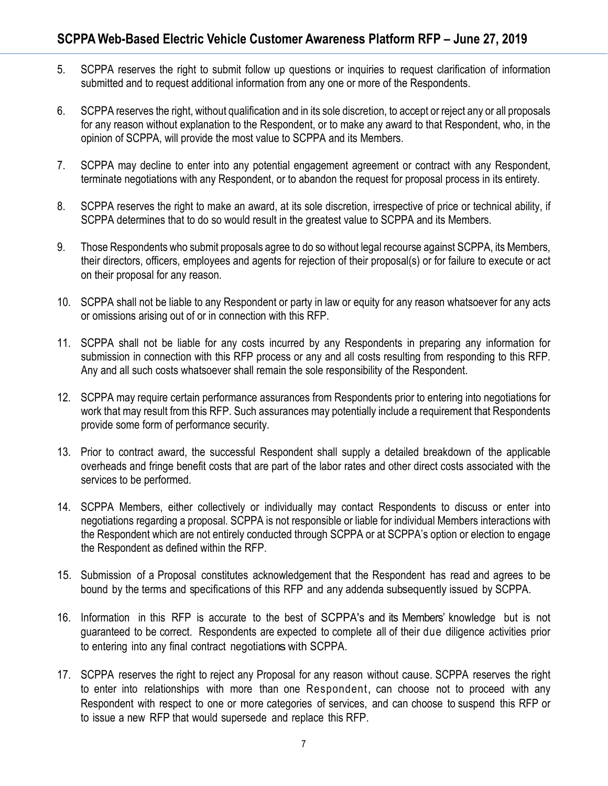- 5. SCPPA reserves the right to submit follow up questions or inquiries to request clarification of information submitted and to request additional information from any one or more of the Respondents.
- 6. SCPPA reserves the right, without qualification and in its sole discretion, to accept or reject any or all proposals for any reason without explanation to the Respondent, or to make any award to that Respondent, who, in the opinion of SCPPA, will provide the most value to SCPPA and its Members.
- 7. SCPPA may decline to enter into any potential engagement agreement or contract with any Respondent, terminate negotiations with any Respondent, or to abandon the request for proposal process in its entirety.
- 8. SCPPA reserves the right to make an award, at its sole discretion, irrespective of price or technical ability, if SCPPA determines that to do so would result in the greatest value to SCPPA and its Members.
- 9. Those Respondents who submit proposals agree to do so without legal recourse against SCPPA, its Members, their directors, officers, employees and agents for rejection of their proposal(s) or for failure to execute or act on their proposal for any reason.
- 10. SCPPA shall not be liable to any Respondent or party in law or equity for any reason whatsoever for any acts or omissions arising out of or in connection with this RFP.
- 11. SCPPA shall not be liable for any costs incurred by any Respondents in preparing any information for submission in connection with this RFP process or any and all costs resulting from responding to this RFP. Any and all such costs whatsoever shall remain the sole responsibility of the Respondent.
- 12. SCPPA may require certain performance assurances from Respondents prior to entering into negotiations for work that may result from this RFP. Such assurances may potentially include a requirement that Respondents provide some form of performance security.
- 13. Prior to contract award, the successful Respondent shall supply a detailed breakdown of the applicable overheads and fringe benefit costs that are part of the labor rates and other direct costs associated with the services to be performed.
- 14. SCPPA Members, either collectively or individually may contact Respondents to discuss or enter into negotiations regarding a proposal. SCPPA is not responsible or liable for individual Members interactions with the Respondent which are not entirely conducted through SCPPA or at SCPPA's option or election to engage the Respondent as defined within the RFP.
- 15. Submission of a Proposal constitutes acknowledgement that the Respondent has read and agrees to be bound by the terms and specifications of this RFP and any addenda subsequently issued by SCPPA.
- 16. Information in this RFP is accurate to the best of SCPPA's and its Members' knowledge but is not guaranteed to be correct. Respondents are expected to complete all of their due diligence activities prior to entering into any final contract negotiations with SCPPA.
- 17. SCPPA reserves the right to reject any Proposal for any reason without cause. SCPPA reserves the right to enter into relationships with more than one Respondent, can choose not to proceed with any Respondent with respect to one or more categories of services, and can choose to suspend this RFP or to issue a new RFP that would supersede and replace this RFP.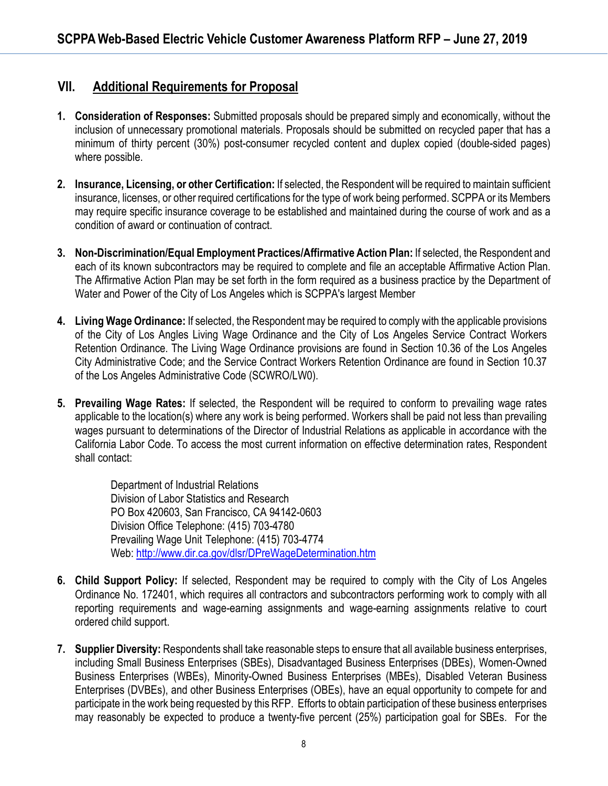## **VII. Additional Requirements for Proposal**

- **1. Consideration of Responses:** Submitted proposals should be prepared simply and economically, without the inclusion of unnecessary promotional materials. Proposals should be submitted on recycled paper that has a minimum of thirty percent (30%) post-consumer recycled content and duplex copied (double-sided pages) where possible.
- **2. Insurance, Licensing, or other Certification:** If selected, the Respondent will be required to maintain sufficient insurance, licenses, or other required certifications for the type of work being performed. SCPPA or its Members may require specific insurance coverage to be established and maintained during the course of work and as a condition of award or continuation of contract.
- **3. Non-Discrimination/Equal Employment Practices/Affirmative Action Plan:** If selected, the Respondent and each of its known subcontractors may be required to complete and file an acceptable Affirmative Action Plan. The Affirmative Action Plan may be set forth in the form required as a business practice by the Department of Water and Power of the City of Los Angeles which is SCPPA's largest Member
- **4. Living Wage Ordinance:** If selected, the Respondent may be required to comply with the applicable provisions of the City of Los Angles Living Wage Ordinance and the City of Los Angeles Service Contract Workers Retention Ordinance. The Living Wage Ordinance provisions are found in Section 10.36 of the Los Angeles City Administrative Code; and the Service Contract Workers Retention Ordinance are found in Section 10.37 of the Los Angeles Administrative Code (SCWRO/LW0).
- **5. Prevailing Wage Rates:** If selected, the Respondent will be required to conform to prevailing wage rates applicable to the location(s) where any work is being performed. Workers shall be paid not less than prevailing wages pursuant to determinations of the Director of Industrial Relations as applicable in accordance with the California Labor Code. To access the most current information on effective determination rates, Respondent shall contact:

Department of Industrial Relations Division of Labor Statistics and Research PO Box 420603, San Francisco, CA 94142-0603 Division Office Telephone: (415) 703-4780 Prevailing Wage Unit Telephone: (415) 703-4774 Web:<http://www.dir.ca.gov/dlsr/DPreWageDetermination.htm>

- **6. Child Support Policy:** If selected, Respondent may be required to comply with the City of Los Angeles Ordinance No. 172401, which requires all contractors and subcontractors performing work to comply with all reporting requirements and wage-earning assignments and wage-earning assignments relative to court ordered child support.
- **7. Supplier Diversity:** Respondents shall take reasonable steps to ensure that all available business enterprises, including Small Business Enterprises (SBEs), Disadvantaged Business Enterprises (DBEs), Women-Owned Business Enterprises (WBEs), Minority-Owned Business Enterprises (MBEs), Disabled Veteran Business Enterprises (DVBEs), and other Business Enterprises (OBEs), have an equal opportunity to compete for and participate in the work being requested by this RFP. Efforts to obtain participation of these business enterprises may reasonably be expected to produce a twenty-five percent (25%) participation goal for SBEs. For the